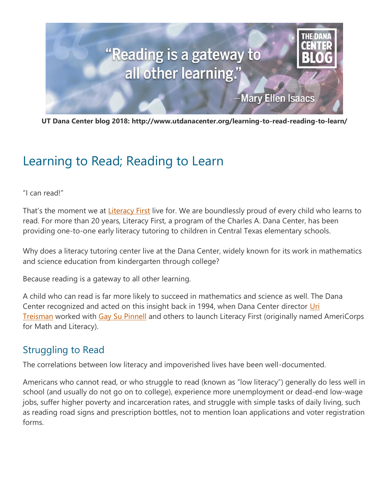

**UT Dana Center blog 2018: http://www.utdanacenter.org/learning-to-read-reading-to-learn/**

# Learning to Read; Reading to Learn

"I can read!"

That's the moment we at **[Literacy First](http://www.literacyfirst.org/)** live for. We are boundlessly proud of every child who learns to read. For more than 20 years, Literacy First, a program of the Charles A. Dana Center, has been providing one-to-one early literacy tutoring to children in Central Texas elementary schools.

Why does a literacy tutoring center live at the Dana Center, widely known for its work in mathematics and science education from kindergarten through college?

Because reading is a gateway to all other learning.

A child who can read is far more likely to succeed in mathematics and science as well. The Dana Center recognized and acted on this insight back in 1994, when Dana Center director Uri **[Treisman](http://www.utdanacenter.org/about-us/staff/p-uri-treisman/)** worked with [Gay Su Pinnell](http://www.fountasandpinnell.com/authors/) and others to launch Literacy First (originally named AmeriCorps for Math and Literacy).

#### Struggling to Read

The correlations between low literacy and impoverished lives have been well-documented.

Americans who cannot read, or who struggle to read (known as "low literacy") generally do less well in school (and usually do not go on to college), experience more unemployment or dead-end low-wage jobs, suffer higher poverty and incarceration rates, and struggle with simple tasks of daily living, such as reading road signs and prescription bottles, not to mention loan applications and voter registration forms.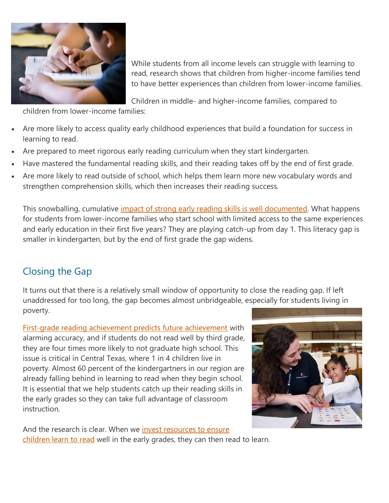

While students from all income levels can struggle with learning to read, research shows that children from higher-income families tend to have better experiences than children from lower-income families.

Children in middle- and higher-income families, compared to

children from lower-income families:

- Are more likely to access quality early childhood experiences that build a foundation for success in learning to read.
- Are prepared to meet rigorous early reading curriculum when they start kindergarten.
- Have mastered the fundamental reading skills, and their reading takes off by the end of first grade.
- Are more likely to read outside of school, which helps them learn more new vocabulary words and strengthen comprehension skills, which then increases their reading success.

This snowballing, cumulative *impact of strong early reading skills is well documented*. What happens for students from lower-income families who start school with limited access to the same experiences and early education in their first five years? They are playing catch-up from day 1. This literacy gap is smaller in kindergarten, but by the end of first grade the gap widens.

## Closing the Gap

It turns out that there is a relatively small window of opportunity to close the reading gap. If left unaddressed for too long, the gap becomes almost unbridgeable, especially for students living in poverty.

[First-grade reading achievement predicts future achievement](https://www.researchgate.net/publication/232543028_Learning_to_Read_and_Write_A_Longitudinal_Study_of_54_Children_From_First_Through_Fourth_Grades) with alarming accuracy, and if students do not read well by third grade, they are four times more likely to not graduate high school. This issue is critical in Central Texas, where 1 in 4 children live in poverty. Almost 60 percent of the kindergartners in our region are already falling behind in learning to read when they begin school. It is essential that we help students catch up their reading skills in the early grades so they can take full advantage of classroom instruction.



And the research is clear. When we invest resources to ensure [children learn to read](https://www.nap.edu/catalog/6023/preventing-reading-difficulties-in-young-children) well in the early grades, they can then read to learn.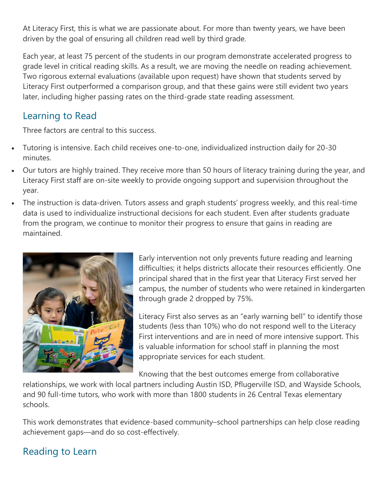At Literacy First, this is what we are passionate about. For more than twenty years, we have been driven by the goal of ensuring all children read well by third grade.

Each year, at least 75 percent of the students in our program demonstrate accelerated progress to grade level in critical reading skills. As a result, we are moving the needle on reading achievement. Two rigorous external evaluations (available upon request) have shown that students served by Literacy First outperformed a comparison group, and that these gains were still evident two years later, including higher passing rates on the third-grade state reading assessment.

### Learning to Read

Three factors are central to this success.

- Tutoring is intensive. Each child receives one-to-one, individualized instruction daily for 20-30 minutes.
- Our tutors are highly trained. They receive more than 50 hours of literacy training during the year, and Literacy First staff are on-site weekly to provide ongoing support and supervision throughout the year.
- The instruction is data-driven. Tutors assess and graph students' progress weekly, and this real-time data is used to individualize instructional decisions for each student. Even after students graduate from the program, we continue to monitor their progress to ensure that gains in reading are maintained.



Early intervention not only prevents future reading and learning difficulties; it helps districts allocate their resources efficiently. One principal shared that in the first year that Literacy First served her campus, the number of students who were retained in kindergarten through grade 2 dropped by 75%.

Literacy First also serves as an "early warning bell" to identify those students (less than 10%) who do not respond well to the Literacy First interventions and are in need of more intensive support. This is valuable information for school staff in planning the most appropriate services for each student.

Knowing that the best outcomes emerge from collaborative

relationships, we work with local partners including Austin ISD, Pflugerville ISD, and Wayside Schools, and 90 full-time tutors, who work with more than 1800 students in 26 Central Texas elementary schools.

This work demonstrates that evidence-based community–school partnerships can help close reading achievement gaps—and do so cost-effectively.

## Reading to Learn